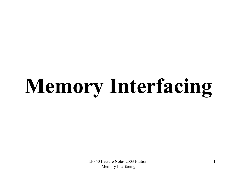# **Memory Interfacing**

LE350 Lecture Notes 2003 Edition: Memory Interfacing

1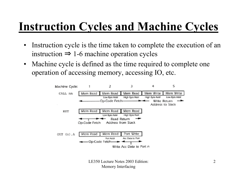#### **Instruction Cycles and Machine Cycles**

- $\bullet$  Instruction cycle is the time taken to complete the execution of an instruction  $\Rightarrow$  1-6 machine operation cycles
- $\bullet$  Machine cycle is defined as the time required to complete one operation of accessing memory, accessing IO, etc.

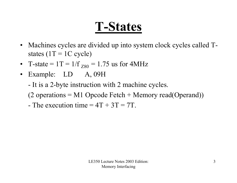## **T-States**

- Machines cycles are divided up into system clock cycles called Tstates  $(1T = 1C$  cycle)
- T-state =  $1T = 1/f_{Z80} = 1.75$  us for 4MHz
- Example: LD A, 09H
	- -- It is a 2-byte instruction with 2 machine cycles.
	- (2 operations  $= M1$  Opcode Fetch  $+$  Memory read(Operand))
	- The execution time  $=4T+3T=7T$ .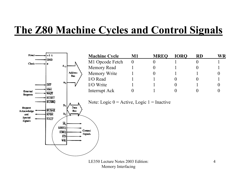#### **The Z80 Machine Cycles and Control Signals**

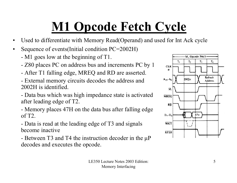# **M1 Opcode Fetch Cycle**

- •Used to differentiate with Memory Read(Operand) and used for Int Ack cycle
- $\bullet$  Sequence of events(Initial condition PC=2002H)
	- M1 goes low at the beginning of T1.
	- Z80 places PC on address bus and increments PC by 1
	- After T1 falling edge, MREQ and RD are asserted.
	- - External memory circuits decodes the address and 2002H is identified.
	- - Data bus which was high impedance state is activated after leading edge of T2.
	- - Memory places 47H on the data bus after falling edge of T2.
	- - Data is read at the leading edge of T3 and signals become inactive
	- Between T3 and T4 the instruction decoder in the µP decodes and executes the opcode.

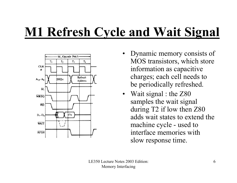# **M1 Refresh Cycle and Wait Signal**



- Dynamic memory consists of MOS transistors, which store information as capacitive charges; each cell needs to be periodically refreshed.
- Wait signal : the Z80 samples the wait signal during T2 if low then Z80 adds wait states to extend the machine cycle - used to interface memories with slow response time.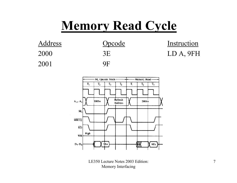#### **Memory Read Cycle**



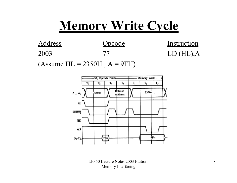#### **Memory Write Cycle**



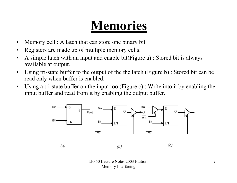## **Memories**

- •Memory cell : A latch that can store one binary bit
- •Registers are made up of multiple memory cells.
- $\bullet$  A simple latch with an input and enable bit(Figure a) : Stored bit is always available at output.
- • Using tri-state buffer to the output of the the latch (Figure b) : Stored bit can be read only when buffer is enabled.
- • Using a tri-state buffer on the input too (Figure c) : Write into it by enabling the input buffer and read from it by enabling the output buffer.

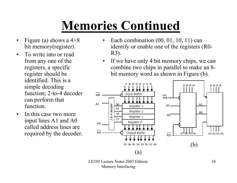# **Memories Continued**

- •Figure (a) shows a  $4\times8$ bit memory(register).
- • To write into or read from any one of the registers, a specific register should be identified. This is a simple decoding function; 2-to-4 decoder can perform that function.
- • In this case two more input lines A1 and A0 called address lines are required by the decoder.
- $\bullet$  Each combination (00, 01, 10, 11) can identify or enable one of the registers (R0- R3).
- If we have only 4 bit memory chips, we can combine two chips in parallel to make an 8 bit memory word as shown in Figure (b).

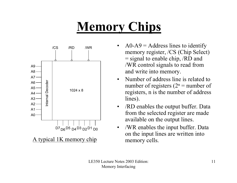# **Memory Chips**



- • $AO-A9 = Address$  lines to identify memory register, /CS (Chip Select) = signal to enable chip, /RD and /WR control signals to read from and write into memory.
- • Number of address line is related to number of registers  $(2^n =$  number of registers, n is the number of address lines).
- $\bullet$  /RD enables the output buffer. Data from the selected register are made available on the output lines.
- $\bullet$  /WR enables the input buffer. Data on the input lines are written into memory cells.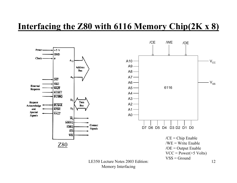#### **Interfacing the Z80 with 6116 Memory Chip(2K x 8)**



Memory Interfacing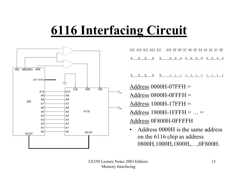# **6116 Interfacing Circuit**



|                          |       | <u>A15 A14 A13 A12 A11 A10 A9 A8 A7 A6 A5 A4 A3 A2 A1 A0</u> |                                                                                                                                                                                                                                |  |  |  |  |  |
|--------------------------|-------|--------------------------------------------------------------|--------------------------------------------------------------------------------------------------------------------------------------------------------------------------------------------------------------------------------|--|--|--|--|--|
|                          |       | X X X X X 0 0 0 0 0 0 0 0 0 0 0 0                            |                                                                                                                                                                                                                                |  |  |  |  |  |
| <b>Contract Contract</b> |       | and the company of the company                               | and the contract of the contract of the contract of the contract of the contract of the contract of the contract of the contract of the contract of the contract of the contract of the contract of the contract of the contra |  |  |  |  |  |
|                          | $X$ X |                                                              | X 1 1 1 1 1 1 1 1 1 1 1 1                                                                                                                                                                                                      |  |  |  |  |  |

Address 0000H-07FFH = Address 0800H-0FFFH = Address 1000H-17FFH = Address 1800H-1FFFH = … <sup>=</sup> Address 0F800H-0FFFFH

• Address 0000H is the same address on the 6116 chip as address 0800H,1000H,1800H,…,0F800H.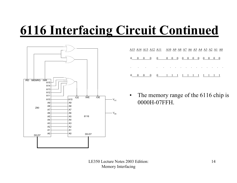# **6116 Interfacing Circuit Continued**



|                 |                                | <u>A15 A14 A13 A12 A11 A10 A9 A8 A7 A6 A5 A4 A3 A2 A1 A0</u> |                         |                              |                         |                  |        |  |                          |  |
|-----------------|--------------------------------|--------------------------------------------------------------|-------------------------|------------------------------|-------------------------|------------------|--------|--|--------------------------|--|
|                 | $0 \quad 0 \quad 0 \quad 0$    | $0 \t 0 \t 0 \t 0 \t 0 \t 0 \t 0 \t 0$                       |                         |                              |                         |                  |        |  | $0\quad 0\quad 0\quad 0$ |  |
| $\sim 10^{-11}$ | $\bullet$                      | $\sim 100$                                                   | $\sim 100$ km s $^{-1}$ | $\sim 100$ $\sim$<br>$\cdot$ | and the contract of the | $\sim$ 100 $\pm$ | $\sim$ |  |                          |  |
| $\sqrt{ }$      | $\hspace{1.6cm} 0$<br>$\sim 0$ | $0 \t 1 \t 1 \t 1 \t 1 \t 1 \t 1$                            |                         |                              |                         |                  |        |  |                          |  |

• The memory range of the 6116 chip is 0000H-07FFH.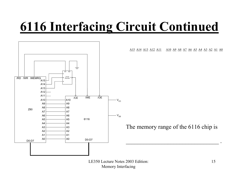## **6116 Interfacing Circuit Continued**



A15 A14 A13 A12 A11 A10 A9 A8 A7 A6 A5 A4 A3 A2 A1 A0

The memory range of the 6116 chip is

 $\mathcal{L}_\text{max}$  . The contract of the contract of the contract of the contract of the contract of the contract of the contract of the contract of the contract of the contract of the contract of the contract of the contract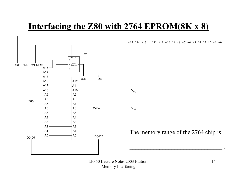#### **Interfacing the Z80 with 2764 EPROM(8K x 8)**

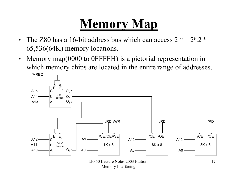# **Memory Map**

- $\bullet$ The Z80 has a 16-bit address bus which can access  $2^{16} = 2^6 \cdot 2^{10} =$ 65,536(64K) memory locations.
- • Memory map(0000 to 0FFFFH) is a pictorial representation in which memory chips are located in the entire range of addresses.